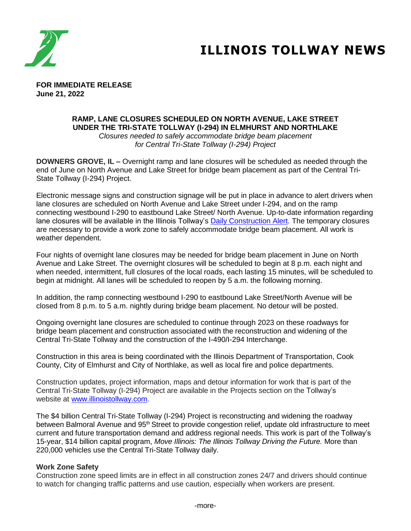

# **ILLINOIS TOLLWAY NEWS**

**FOR IMMEDIATE RELEASE June 21, 2022**

### **RAMP, LANE CLOSURES SCHEDULED ON NORTH AVENUE, LAKE STREET UNDER THE TRI-STATE TOLLWAY (I-294) IN ELMHURST AND NORTHLAKE**

*Closures needed to safely accommodate bridge beam placement for Central Tri-State Tollway (I-294) Project* 

**DOWNERS GROVE, IL –** Overnight ramp and lane closures will be scheduled as needed through the end of June on North Avenue and Lake Street for bridge beam placement as part of the Central Tri-State Tollway (I-294) Project.

Electronic message signs and construction signage will be put in place in advance to alert drivers when lane closures are scheduled on North Avenue and Lake Street under I-294, and on the ramp connecting westbound I-290 to eastbound Lake Street/ North Avenue. Up-to-date information regarding lane closures will be available in the Illinois Tollway's [Daily Construction Alert.](https://www.illinoistollway.com/media-center/construction-alerts) The temporary closures are necessary to provide a work zone to safely accommodate bridge beam placement. All work is weather dependent.

Four nights of overnight lane closures may be needed for bridge beam placement in June on North Avenue and Lake Street. The overnight closures will be scheduled to begin at 8 p.m. each night and when needed, intermittent, full closures of the local roads, each lasting 15 minutes, will be scheduled to begin at midnight. All lanes will be scheduled to reopen by 5 a.m. the following morning.

In addition, the ramp connecting westbound I-290 to eastbound Lake Street/North Avenue will be closed from 8 p.m. to 5 a.m. nightly during bridge beam placement. No detour will be posted.

Ongoing overnight lane closures are scheduled to continue through 2023 on these roadways for bridge beam placement and construction associated with the reconstruction and widening of the Central Tri-State Tollway and the construction of the I-490/I-294 Interchange.

Construction in this area is being coordinated with the Illinois Department of Transportation, Cook County, City of Elmhurst and City of Northlake, as well as local fire and police departments.

Construction updates, project information, maps and detour information for work that is part of the Central Tri-State Tollway (I-294) Project are available in the Projects section on the Tollway's website at [www.illinoistollway.com.](http://www.illinoistollway.com )

The \$4 billion Central Tri-State Tollway (I-294) Project is reconstructing and widening the roadway between Balmoral Avenue and 95<sup>th</sup> Street to provide congestion relief, update old infrastructure to meet current and future transportation demand and address regional needs. This work is part of the Tollway's 15-year, \$14 billion capital program, *Move Illinois: The Illinois Tollway Driving the Future.* More than 220,000 vehicles use the Central Tri-State Tollway daily.

#### **Work Zone Safety**

Construction zone speed limits are in effect in all construction zones 24/7 and drivers should continue to watch for changing traffic patterns and use caution, especially when workers are present.